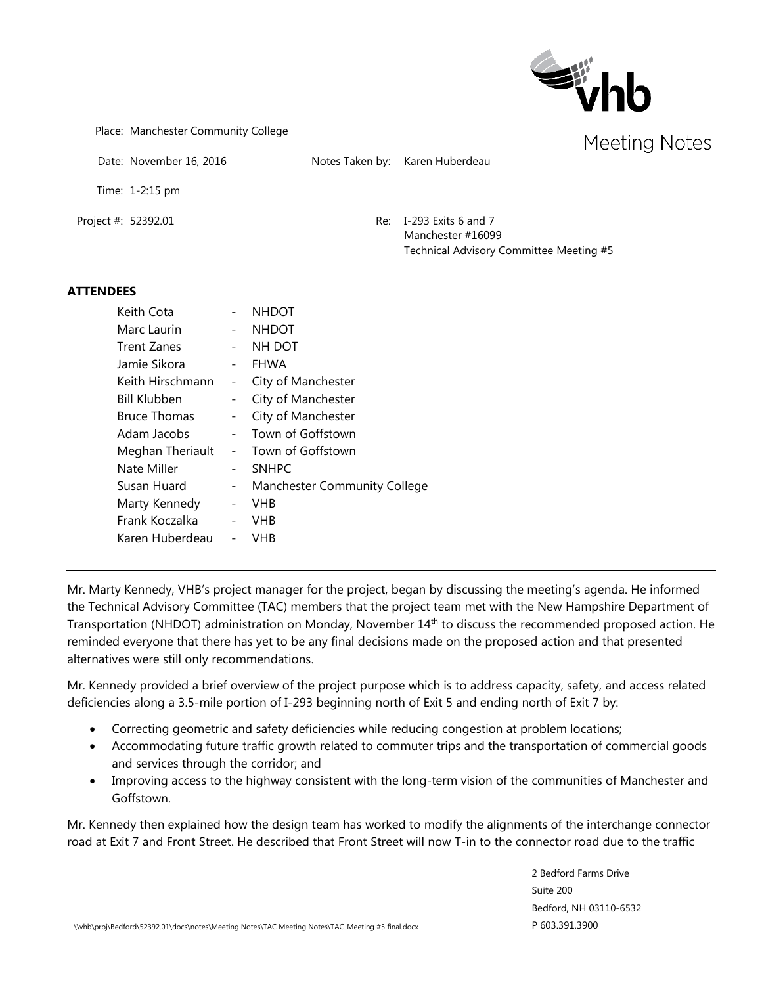

Place: Manchester Community College

Date: November 16, 2016 Notes Taken by: Karen Huberdeau

Time: 1-2:15 pm

Project #: 52392.01 Re: I-293 Exits 6 and 7 Manchester #16099 Technical Advisory Committee Meeting #5

#### **ATTENDEES**

| Keith Cota          |                          | <b>NHDOT</b>                        |
|---------------------|--------------------------|-------------------------------------|
| Marc Laurin         |                          | <b>NHDOT</b>                        |
| <b>Trent Zanes</b>  |                          | NH DOT                              |
| Jamie Sikora        |                          | <b>FHWA</b>                         |
| Keith Hirschmann    |                          | City of Manchester                  |
| <b>Bill Klubben</b> |                          | City of Manchester                  |
| <b>Bruce Thomas</b> | -                        | City of Manchester                  |
| Adam Jacobs         |                          | Town of Goffstown                   |
| Meghan Theriault    |                          | Town of Goffstown                   |
| Nate Miller         |                          | <b>SNHPC</b>                        |
| Susan Huard         | $\qquad \qquad -$        | <b>Manchester Community College</b> |
| Marty Kennedy       | $\overline{\phantom{0}}$ | VHB                                 |
| Frank Koczalka      |                          | VHB                                 |
| Karen Huberdeau     |                          | VHB                                 |
|                     |                          |                                     |

Mr. Marty Kennedy, VHB's project manager for the project, began by discussing the meeting's agenda. He informed the Technical Advisory Committee (TAC) members that the project team met with the New Hampshire Department of Transportation (NHDOT) administration on Monday, November 14th to discuss the recommended proposed action. He reminded everyone that there has yet to be any final decisions made on the proposed action and that presented alternatives were still only recommendations.

Mr. Kennedy provided a brief overview of the project purpose which is to address capacity, safety, and access related deficiencies along a 3.5-mile portion of I-293 beginning north of Exit 5 and ending north of Exit 7 by:

- Correcting geometric and safety deficiencies while reducing congestion at problem locations;
- Accommodating future traffic growth related to commuter trips and the transportation of commercial goods and services through the corridor; and
- Improving access to the highway consistent with the long-term vision of the communities of Manchester and Goffstown.

Mr. Kennedy then explained how the design team has worked to modify the alignments of the interchange connector road at Exit 7 and Front Street. He described that Front Street will now T-in to the connector road due to the traffic

> 2 Bedford Farms Drive Suite 200 Bedford, NH 03110-6532 P 603.391.3900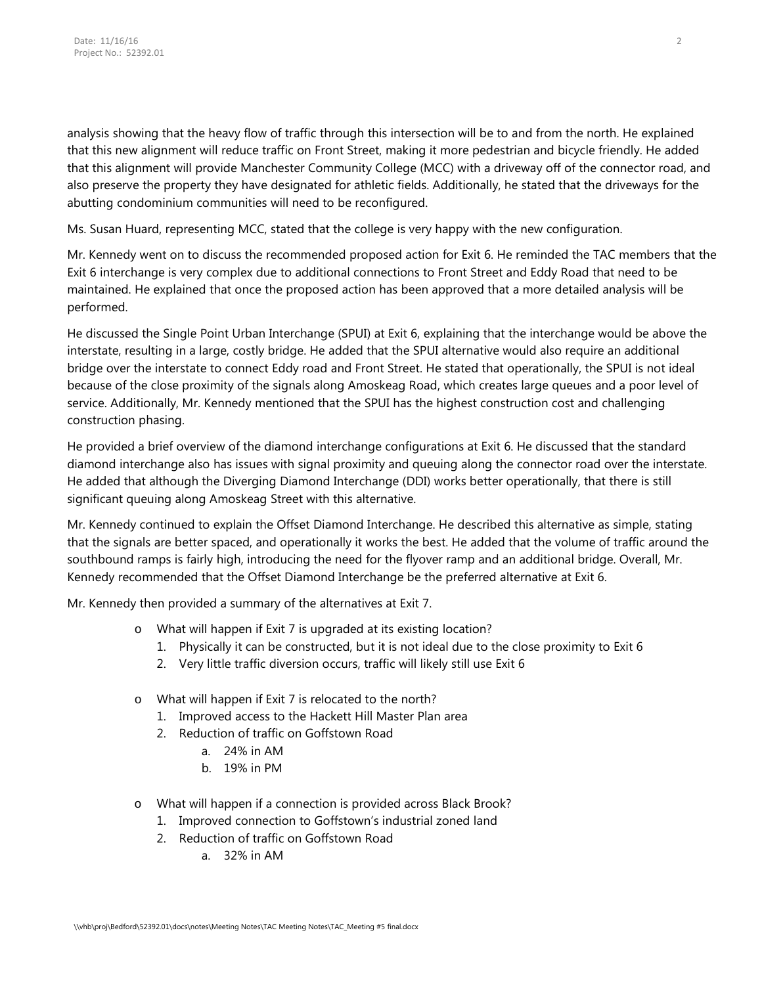analysis showing that the heavy flow of traffic through this intersection will be to and from the north. He explained that this new alignment will reduce traffic on Front Street, making it more pedestrian and bicycle friendly. He added that this alignment will provide Manchester Community College (MCC) with a driveway off of the connector road, and also preserve the property they have designated for athletic fields. Additionally, he stated that the driveways for the abutting condominium communities will need to be reconfigured.

Ms. Susan Huard, representing MCC, stated that the college is very happy with the new configuration.

Mr. Kennedy went on to discuss the recommended proposed action for Exit 6. He reminded the TAC members that the Exit 6 interchange is very complex due to additional connections to Front Street and Eddy Road that need to be maintained. He explained that once the proposed action has been approved that a more detailed analysis will be performed.

He discussed the Single Point Urban Interchange (SPUI) at Exit 6, explaining that the interchange would be above the interstate, resulting in a large, costly bridge. He added that the SPUI alternative would also require an additional bridge over the interstate to connect Eddy road and Front Street. He stated that operationally, the SPUI is not ideal because of the close proximity of the signals along Amoskeag Road, which creates large queues and a poor level of service. Additionally, Mr. Kennedy mentioned that the SPUI has the highest construction cost and challenging construction phasing.

He provided a brief overview of the diamond interchange configurations at Exit 6. He discussed that the standard diamond interchange also has issues with signal proximity and queuing along the connector road over the interstate. He added that although the Diverging Diamond Interchange (DDI) works better operationally, that there is still significant queuing along Amoskeag Street with this alternative.

Mr. Kennedy continued to explain the Offset Diamond Interchange. He described this alternative as simple, stating that the signals are better spaced, and operationally it works the best. He added that the volume of traffic around the southbound ramps is fairly high, introducing the need for the flyover ramp and an additional bridge. Overall, Mr. Kennedy recommended that the Offset Diamond Interchange be the preferred alternative at Exit 6.

Mr. Kennedy then provided a summary of the alternatives at Exit 7.

- o What will happen if Exit 7 is upgraded at its existing location?
	- 1. Physically it can be constructed, but it is not ideal due to the close proximity to Exit 6
	- 2. Very little traffic diversion occurs, traffic will likely still use Exit 6
- o What will happen if Exit 7 is relocated to the north?
	- 1. Improved access to the Hackett Hill Master Plan area
	- 2. Reduction of traffic on Goffstown Road
		- a. 24% in AM
		- b. 19% in PM
- o What will happen if a connection is provided across Black Brook?
	- 1. Improved connection to Goffstown's industrial zoned land
	- 2. Reduction of traffic on Goffstown Road
		- a. 32% in AM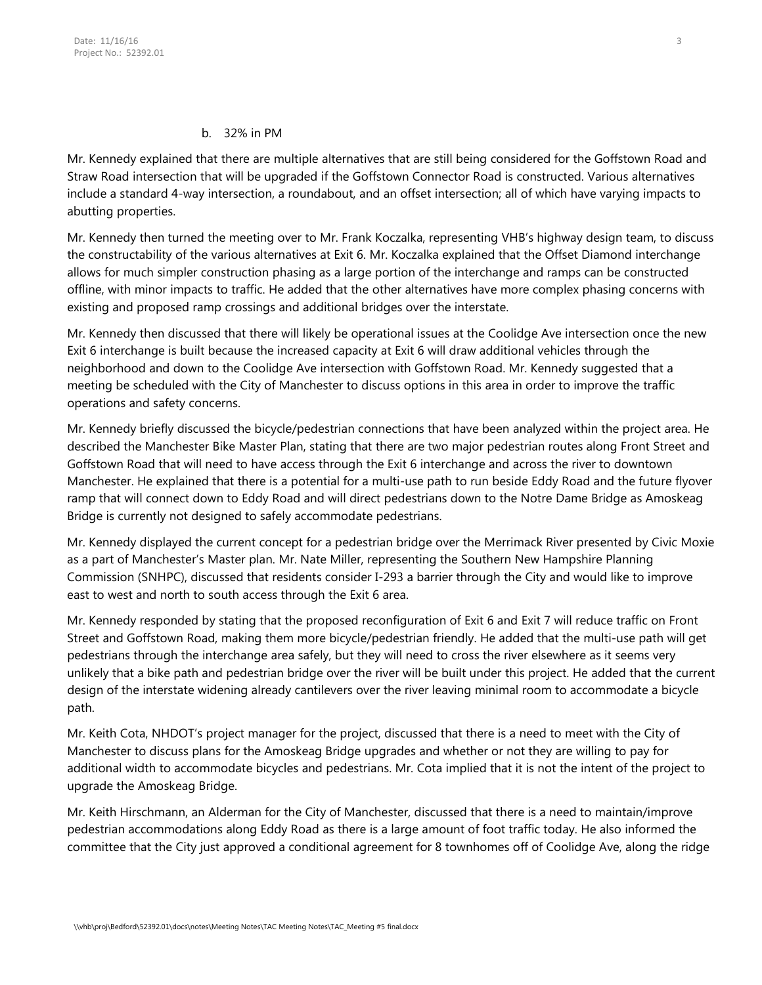### b. 32% in PM

Mr. Kennedy explained that there are multiple alternatives that are still being considered for the Goffstown Road and Straw Road intersection that will be upgraded if the Goffstown Connector Road is constructed. Various alternatives include a standard 4-way intersection, a roundabout, and an offset intersection; all of which have varying impacts to abutting properties.

Mr. Kennedy then turned the meeting over to Mr. Frank Koczalka, representing VHB's highway design team, to discuss the constructability of the various alternatives at Exit 6. Mr. Koczalka explained that the Offset Diamond interchange allows for much simpler construction phasing as a large portion of the interchange and ramps can be constructed offline, with minor impacts to traffic. He added that the other alternatives have more complex phasing concerns with existing and proposed ramp crossings and additional bridges over the interstate.

Mr. Kennedy then discussed that there will likely be operational issues at the Coolidge Ave intersection once the new Exit 6 interchange is built because the increased capacity at Exit 6 will draw additional vehicles through the neighborhood and down to the Coolidge Ave intersection with Goffstown Road. Mr. Kennedy suggested that a meeting be scheduled with the City of Manchester to discuss options in this area in order to improve the traffic operations and safety concerns.

Mr. Kennedy briefly discussed the bicycle/pedestrian connections that have been analyzed within the project area. He described the Manchester Bike Master Plan, stating that there are two major pedestrian routes along Front Street and Goffstown Road that will need to have access through the Exit 6 interchange and across the river to downtown Manchester. He explained that there is a potential for a multi-use path to run beside Eddy Road and the future flyover ramp that will connect down to Eddy Road and will direct pedestrians down to the Notre Dame Bridge as Amoskeag Bridge is currently not designed to safely accommodate pedestrians.

Mr. Kennedy displayed the current concept for a pedestrian bridge over the Merrimack River presented by Civic Moxie as a part of Manchester's Master plan. Mr. Nate Miller, representing the Southern New Hampshire Planning Commission (SNHPC), discussed that residents consider I-293 a barrier through the City and would like to improve east to west and north to south access through the Exit 6 area.

Mr. Kennedy responded by stating that the proposed reconfiguration of Exit 6 and Exit 7 will reduce traffic on Front Street and Goffstown Road, making them more bicycle/pedestrian friendly. He added that the multi-use path will get pedestrians through the interchange area safely, but they will need to cross the river elsewhere as it seems very unlikely that a bike path and pedestrian bridge over the river will be built under this project. He added that the current design of the interstate widening already cantilevers over the river leaving minimal room to accommodate a bicycle path.

Mr. Keith Cota, NHDOT's project manager for the project, discussed that there is a need to meet with the City of Manchester to discuss plans for the Amoskeag Bridge upgrades and whether or not they are willing to pay for additional width to accommodate bicycles and pedestrians. Mr. Cota implied that it is not the intent of the project to upgrade the Amoskeag Bridge.

Mr. Keith Hirschmann, an Alderman for the City of Manchester, discussed that there is a need to maintain/improve pedestrian accommodations along Eddy Road as there is a large amount of foot traffic today. He also informed the committee that the City just approved a conditional agreement for 8 townhomes off of Coolidge Ave, along the ridge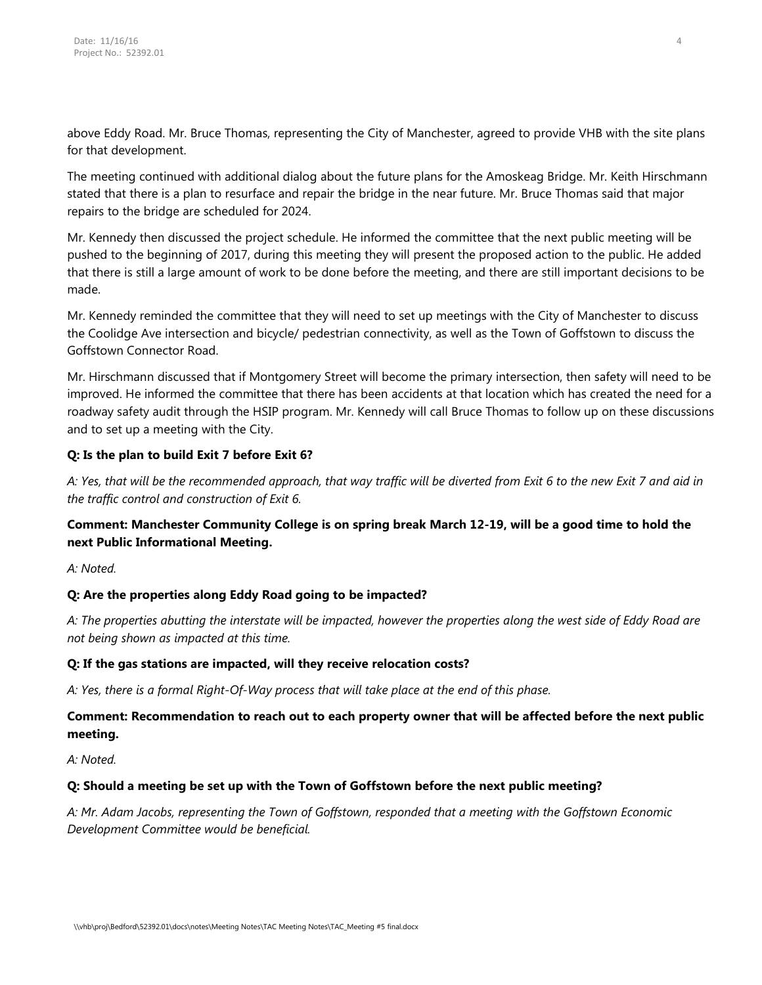above Eddy Road. Mr. Bruce Thomas, representing the City of Manchester, agreed to provide VHB with the site plans for that development.

The meeting continued with additional dialog about the future plans for the Amoskeag Bridge. Mr. Keith Hirschmann stated that there is a plan to resurface and repair the bridge in the near future. Mr. Bruce Thomas said that major repairs to the bridge are scheduled for 2024.

Mr. Kennedy then discussed the project schedule. He informed the committee that the next public meeting will be pushed to the beginning of 2017, during this meeting they will present the proposed action to the public. He added that there is still a large amount of work to be done before the meeting, and there are still important decisions to be made.

Mr. Kennedy reminded the committee that they will need to set up meetings with the City of Manchester to discuss the Coolidge Ave intersection and bicycle/ pedestrian connectivity, as well as the Town of Goffstown to discuss the Goffstown Connector Road.

Mr. Hirschmann discussed that if Montgomery Street will become the primary intersection, then safety will need to be improved. He informed the committee that there has been accidents at that location which has created the need for a roadway safety audit through the HSIP program. Mr. Kennedy will call Bruce Thomas to follow up on these discussions and to set up a meeting with the City.

## **Q: Is the plan to build Exit 7 before Exit 6?**

*A: Yes, that will be the recommended approach, that way traffic will be diverted from Exit 6 to the new Exit 7 and aid in the traffic control and construction of Exit 6.*

# **Comment: Manchester Community College is on spring break March 12-19, will be a good time to hold the next Public Informational Meeting.**

*A: Noted.*

# **Q: Are the properties along Eddy Road going to be impacted?**

*A: The properties abutting the interstate will be impacted, however the properties along the west side of Eddy Road are not being shown as impacted at this time.*

## **Q: If the gas stations are impacted, will they receive relocation costs?**

*A: Yes, there is a formal Right-Of-Way process that will take place at the end of this phase.* 

# **Comment: Recommendation to reach out to each property owner that will be affected before the next public meeting.**

*A: Noted.*

## **Q: Should a meeting be set up with the Town of Goffstown before the next public meeting?**

*A: Mr. Adam Jacobs, representing the Town of Goffstown, responded that a meeting with the Goffstown Economic Development Committee would be beneficial.*